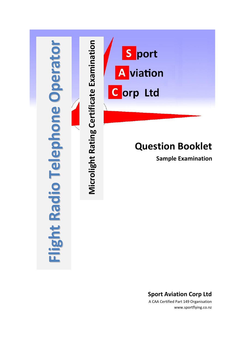

### **Sport Aviation Corp Ltd**

A CAA Certified Part 149 Organisation www.sportflying.co.nz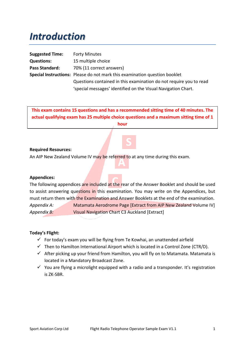## *Introduction*

| <b>Suggested Time:</b> | <b>Forty Minutes</b>                                                       |
|------------------------|----------------------------------------------------------------------------|
| <b>Questions:</b>      | 15 multiple choice                                                         |
| Pass Standard:         | 70% (11 correct answers)                                                   |
|                        | Special Instructions: Please do not mark this examination question booklet |
|                        | Questions contained in this examination do not require you to read         |
|                        | 'special messages' identified on the Visual Navigation Chart.              |

**This exam contains 15 questions and has a recommended sitting time of 40 minutes. The actual qualifying exam has 25 multiple choice questions and a maximum sitting time of 1 hour**

#### **Required Resources:**

An AIP New Zealand Volume IV may be referred to at any time during this exam.

#### **Appendices:**

The following appendices are included at the rear of the Answer Booklet and should be used to assist answering questions in this examination. You may write on the Appendices, but must return them with the Examination and Answer Booklets at the end of the examination. *Appendix A:* Matamata Aerodrome Page [Extract from AIP New Zealand Volume IV] *Appendix B:* Visual Navigation Chart C3 Auckland [Extract]

#### **Today's Flight:**

- $\checkmark$  For today's exam you will be flying from Te Kowhai, an unattended airfield
- $\checkmark$  Then to Hamilton International Airport which is located in a Control Zone (CTR/D).
- $\checkmark$  After picking up your friend from Hamilton, you will fly on to Matamata. Matamata is located in a Mandatory Broadcast Zone.
- $\checkmark$  You are flying a microlight equipped with a radio and a transponder. It's registration is ZK-SBR.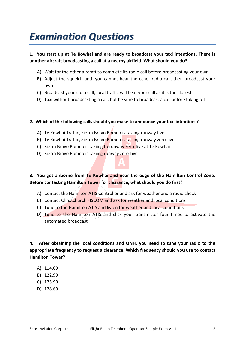# *Examination Questions*

#### **1. You start up at Te Kowhai and are ready to broadcast your taxi intentions. There is another aircraft broadcasting a call at a nearby airfield. What should you do?**

- A) Wait for the other aircraft to complete its radio call before broadcasting your own
- B) Adjust the squelch until you cannot hear the other radio call, then broadcast your own
- C) Broadcast your radio call, local traffic will hear your call as it is the closest
- D) Taxi without broadcasting a call, but be sure to broadcast a call before taking off

#### **2. Which of the following calls should you make to announce your taxi intentions?**

- A) Te Kowhai Traffic, Sierra Bravo Romeo is taxiing runway five
- B) Te Kowhai Traffic, Sierra Bravo Romeo is taxiing runway zero-five
- C) Sierra Bravo Romeo is taxiing to runway zero-five at Te Kowhai
- D) Sierra Bravo Romeo is taxiing runway zero-five



- A) Contact the Hamilton ATIS Controller and ask for weather and a radio check
- B) Contact Christchurch FISCOM and ask for weather and local conditions
- C) Tune to the Hamilton ATIS and listen for weather and local conditions
- D) Tune to the Hamilton ATIS and click your transmitter four times to activate the automated broadcast

**4. After obtaining the local conditions and QNH, you need to tune your radio to the appropriate frequency to request a clearance. Which frequency should you use to contact Hamilton Tower?**

- A) 114.00
- B) 122.90
- C) 125.90
- D) 128.60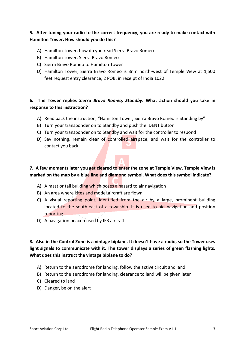#### **5. After tuning your radio to the correct frequency, you are ready to make contact with Hamilton Tower. How should you do this?**

- A) Hamilton Tower, how do you read Sierra Bravo Romeo
- B) Hamilton Tower, Sierra Bravo Romeo
- C) Sierra Bravo Romeo to Hamilton Tower
- D) Hamilton Tower, Sierra Bravo Romeo is 3nm north-west of Temple View at 1,500 feet request entry clearance, 2 POB, in receipt of India 1022

#### **6. The Tower replies** *Sierra Bravo Romeo, Standby***. What action should you take in response to this instruction?**

- A) Read back the instruction, "Hamilton Tower, Sierra Bravo Romeo is Standing by"
- B) Turn your transponder on to Standby and push the IDENT button
- C) Turn your transponder on to Standby and wait for the controller to respond
- D) Say nothing, remain clear of controlled airspace, and wait for the controller to contact you back

### **7. A few moments later you get cleared to enter the zone at Temple View. Temple View is marked on the map by a blue line and diamond symbol. What does this symbol indicate?**

- A) A mast or tall building which poses a hazard to air navigation
- B) An area where kites and mode aircraft are flown
- C) A visual reporting point, identified from the air by a large, prominent building located to the south-east of a township. It is used to aid navigation and position reporting
- D) A navigation beacon used by IFR aircraft

### **8. Also in the Control Zone is a vintage biplane. It doesn't have a radio, so the Tower uses light signals to communicate with it. The tower displays a series of green flashing lights. What does this instruct the vintage biplane to do?**

- A) Return to the aerodrome for landing, follow the active circuit and land
- B) Return to the aerodrome for landing, clearance to land will be given later
- C) Cleared to land
- D) Danger, be on the alert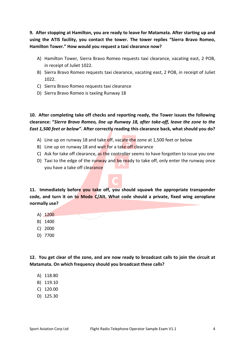**9. After stopping at Hamilton, you are ready to leave for Matamata. After starting up and using the ATIS facility, you contact the tower. The tower replies "Sierra Bravo Romeo, Hamilton Tower." How would you request a taxi clearance now?**

- A) Hamilton Tower, Sierra Bravo Romeo requests taxi clearance, vacating east, 2 POB, in receipt of Juliet 1022.
- B) Sierra Bravo Romeo requests taxi clearance, vacating east, 2 POB, in receipt of Juliet 1022.
- C) Sierra Bravo Romeo requests taxi clearance
- D) Sierra Bravo Romeo is taxiing Runway 18

**10. After completing take off checks and reporting ready, the Tower issues the following clearance: "***Sierra Bravo Romeo, line up Runway 18, after take-off, leave the zone to the East 1,500 feet or below"***. After correctly reading this clearance back, what should you do?**

- A) Line up on runway 18 and take off, vacate the zone at 1,500 feet or below
- B) Line up on runway 18 and wait for a take off clearance
- C) Ask for take off clearance, as the controller seems to have forgotten to issue you one
- D) Taxi to the edge of the runway and be ready to take off, only enter the runway once you have a take off clearance

**11. Immediately before you take off, you should squawk the appropriate transponder**  code, and turn it on to Mode C/Alt. What code should a private, fixed wing aeroplane **normally use?**

- A) 1200
- B) 1400
- C) 2000
- D) 7700

**12. You get clear of the zone, and are now ready to broadcast calls to join the circuit at Matamata. On which frequency should you broadcast these calls?**

- A) 118.80
- B) 119.10
- C) 120.00
- D) 125.30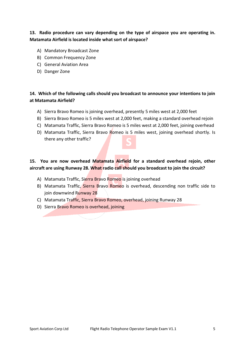#### **13. Radio procedure can vary depending on the type of airspace you are operating in. Matamata Airfield is located inside what sort of airspace?**

- A) Mandatory Broadcast Zone
- B) Common Frequency Zone
- C) General Aviation Area
- D) Danger Zone

#### **14. Which of the following calls should you broadcast to announce your intentions to join at Matamata Airfield?**

- A) Sierra Bravo Romeo is joining overhead, presently 5 miles west at 2,000 feet
- B) Sierra Bravo Romeo is 5 miles west at 2,000 feet, making a standard overhead rejoin
- C) Matamata Traffic, Sierra Bravo Romeo is 5 miles west at 2,000 feet, joining overhead
- D) Matamata Traffic, Sierra Bravo Romeo is 5 miles west, joining overhead shortly. Is there any other traffic?

### **15. You are now overhead Matamata Airfield for a standard overhead rejoin, other aircraft are using Runway 28. What radio call should you broadcast to join the circuit?**

- A) Matamata Traffic, Sierra Bravo Romeo is joining overhead
- B) Matamata Traffic, Sierra Bravo Romeo is overhead, descending non traffic side to join downwind Runway 28
- C) Matamata Traffic, Sierra Bravo Romeo, overhead, joining Runway 28
- D) Sierra Bravo Romeo is overhead, joining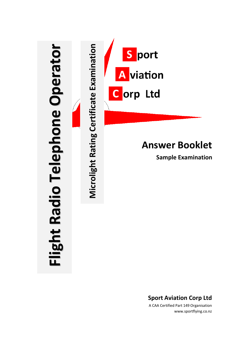

**Answer Booklet**

**Sample Examination**

**Sport Aviation Corp Ltd** A CAA Certified Part 149 Organisation

www.sportflying.co.nz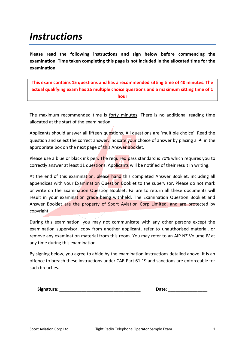## *Instructions*

**Please read the following instructions and sign below before commencing the examination. Time taken completing this page is not included in the allocated time for the examination.**

**This exam contains 15 questions and has a recommended sitting time of 40 minutes. The actual qualifying exam has 25 multiple choice questions and a maximum sitting time of 1 hour**

The maximum recommended time is forty minutes. There is no additional reading time allocated at the start of the examination.

Applicants should answer all fifteen questions. All questions are 'multiple choice'. Read the question and select the correct answer. Indicate your choice of answer by placing a  $\star$  in the appropriate box on the next page of this Answer Booklet.

Please use a blue or black ink pen. The required pass standard is 70% which requires you to correctly answer at least 11 questions. Applicants will be notified of their result in writing.

At the end of this examination, please hand this completed Answer Booklet, including all appendices with your Examination Question Booklet to the supervisor. Please do not mark or write on the Examination Question Booklet. Failure to return all these documents will result in your examination grade being withheld. The Examination Question Booklet and Answer Booklet are the property of Sport Aviation Corp Limited, and are protected by copyright.

During this examination, you may not communicate with any other persons except the examination supervisor, copy from another applicant, refer to unauthorised material, or remove any examination material from this room. You may refer to an AIP NZ Volume IV at any time during this examination.

By signing below, you agree to abide by the examination instructions detailed above. It is an offence to breach these instructions under CAR Part 61.19 and sanctions are enforceable for such breaches.

**Signature:**  $\blacksquare$ 

| Date: |  |
|-------|--|
|       |  |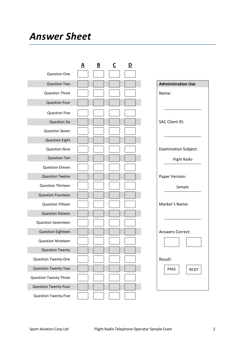## *Answer Sheet*

|                           | <u>A</u> | $\underline{\mathbf{B}}$ | $\overline{\mathsf{C}}$ | <u>D</u> |                             |
|---------------------------|----------|--------------------------|-------------------------|----------|-----------------------------|
| <b>Question One</b>       |          |                          |                         |          |                             |
| <b>Question Two</b>       |          |                          |                         |          | <b>Administration Use</b>   |
| <b>Question Three</b>     |          |                          |                         |          | Name:                       |
| <b>Question Four</b>      |          |                          |                         |          |                             |
| <b>Question Five</b>      |          |                          |                         |          |                             |
| <b>Question Six</b>       |          |                          |                         |          | <b>SAC Client ID:</b>       |
| <b>Question Seven</b>     |          |                          |                         |          |                             |
| <b>Question Eight</b>     |          |                          |                         |          |                             |
| <b>Question Nine</b>      |          |                          |                         |          | <b>Examination Subject:</b> |
| <b>Question Ten</b>       |          |                          |                         |          | <b>Flight Radio</b>         |
| <b>Question Eleven</b>    |          |                          |                         |          |                             |
| <b>Question Twelve</b>    |          |                          |                         |          | Paper Version:              |
| <b>Question Thirteen</b>  |          |                          |                         |          | Sample                      |
| <b>Question Fourteen</b>  |          |                          |                         |          |                             |
| <b>Question Fifteen</b>   |          |                          |                         |          | Marker's Name:              |
| <b>Question Sixteen</b>   |          |                          |                         |          |                             |
| <b>Question Seventeen</b> |          |                          |                         |          |                             |
| <b>Question Eighteen</b>  |          |                          |                         |          | <b>Answers Correct:</b>     |
| <b>Question Nineteen</b>  |          |                          |                         |          |                             |
| <b>Question Twenty</b>    |          |                          |                         |          |                             |
| Question Twenty-One       |          |                          |                         |          | Result:                     |
| Question Twenty-Two       |          |                          |                         |          | PASS<br><b>RESIT</b>        |
| Question Twenty-Three     |          |                          |                         |          |                             |
| Question Twenty-Four      |          |                          |                         |          |                             |
| Question Twenty-Five      |          |                          |                         |          |                             |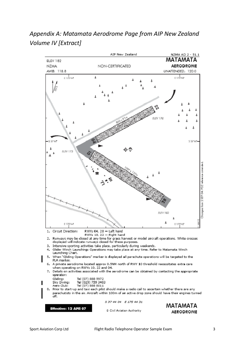

### *Appendix A: Matamata Aerodrome Page from AIP New Zealand Volume IV [Extract]*